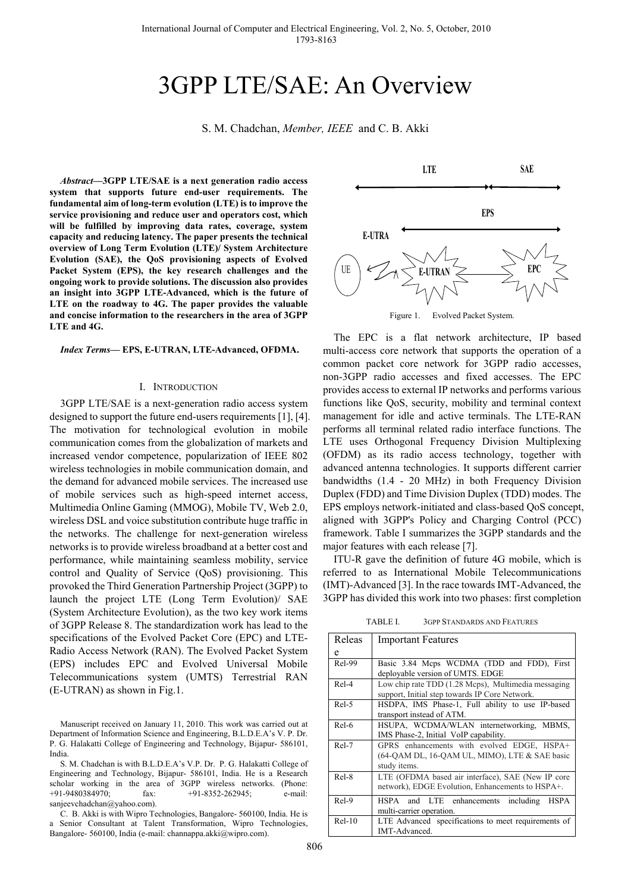# 3GPP LTE/SAE: An Overview

S. M. Chadchan, *Member, IEEE* and C. B. Akki

*Abstract***—3GPP LTE/SAE is a next generation radio access system that supports future end-user requirements. The fundamental aim of long-term evolution (LTE) is to improve the service provisioning and reduce user and operators cost, which will be fulfilled by improving data rates, coverage, system capacity and reducing latency. The paper presents the technical overview of Long Term Evolution (LTE)/ System Architecture Evolution (SAE), the QoS provisioning aspects of Evolved Packet System (EPS), the key research challenges and the ongoing work to provide solutions. The discussion also provides an insight into 3GPP LTE-Advanced, which is the future of LTE on the roadway to 4G. The paper provides the valuable and concise information to the researchers in the area of 3GPP LTE and 4G.** 

*Index Terms***— EPS, E-UTRAN, LTE-Advanced, OFDMA.** 

#### I. INTRODUCTION

3GPP LTE/SAE is a next-generation radio access system designed to support the future end-users requirements [1], [4]. The motivation for technological evolution in mobile communication comes from the globalization of markets and increased vendor competence, popularization of IEEE 802 wireless technologies in mobile communication domain, and the demand for advanced mobile services. The increased use of mobile services such as high-speed internet access, Multimedia Online Gaming (MMOG), Mobile TV, Web 2.0, wireless DSL and voice substitution contribute huge traffic in the networks. The challenge for next-generation wireless networks is to provide wireless broadband at a better cost and performance, while maintaining seamless mobility, service control and Quality of Service (QoS) provisioning. This provoked the Third Generation Partnership Project (3GPP) to launch the project LTE (Long Term Evolution)/ SAE (System Architecture Evolution), as the two key work items of 3GPP Release 8. The standardization work has lead to the specifications of the Evolved Packet Core (EPC) and LTE-Radio Access Network (RAN). The Evolved Packet System (EPS) includes EPC and Evolved Universal Mobile Telecommunications system (UMTS) Terrestrial RAN (E-UTRAN) as shown in Fig.1.

Manuscript received on January 11, 2010. This work was carried out at Department of Information Science and Engineering, B.L.D.E.A's V. P. Dr. P. G. Halakatti College of Engineering and Technology, Bijapur- 586101, India.

S. M. Chadchan is with B.L.D.E.A's V.P. Dr. P. G. Halakatti College of Engineering and Technology, Bijapur- 586101, India. He is a Research scholar working in the area of 3GPP wireless networks. (Phone: +91-9480384970; fax: +91-8352-262945; e-mail: sanjeevchadchan@yahoo.com).

C. B. Akki is with Wipro Technologies, Bangalore- 560100, India. He is a Senior Consultant at Talent Transformation, Wipro Technologies, Bangalore- 560100, India (e-mail: channappa.akki@wipro.com).



The EPC is a flat network architecture, IP based multi-access core network that supports the operation of a common packet core network for 3GPP radio accesses, non-3GPP radio accesses and fixed accesses. The EPC provides access to external IP networks and performs various functions like QoS, security, mobility and terminal context management for idle and active terminals. The LTE-RAN performs all terminal related radio interface functions. The LTE uses Orthogonal Frequency Division Multiplexing (OFDM) as its radio access technology, together with advanced antenna technologies. It supports different carrier bandwidths (1.4 - 20 MHz) in both Frequency Division Duplex (FDD) and Time Division Duplex (TDD) modes. The EPS employs network-initiated and class-based QoS concept, aligned with 3GPP's Policy and Charging Control (PCC) framework. Table I summarizes the 3GPP standards and the major features with each release [7].

ITU-R gave the definition of future 4G mobile, which is referred to as International Mobile Telecommunications (IMT)-Advanced [3]. In the race towards IMT-Advanced, the 3GPP has divided this work into two phases: first completion

TABLE I. 3GPP STANDARDS AND FEATURES

| Releas   | <b>Important Features</b>                           |
|----------|-----------------------------------------------------|
| e        |                                                     |
| $ReI-99$ | Basic 3.84 Mcps WCDMA (TDD and FDD), First          |
|          | deployable version of UMTS. EDGE                    |
| $ReI-4$  | Low chip rate TDD (1.28 Mcps), Multimedia messaging |
|          | support, Initial step towards IP Core Network.      |
| $Rel-5$  | HSDPA, IMS Phase-1, Full ability to use IP-based    |
|          | transport instead of ATM.                           |
| Rel-6    | HSUPA, WCDMA/WLAN internetworking, MBMS,            |
|          | IMS Phase-2, Initial VoIP capability.               |
| Rel-7    | GPRS enhancements with evolved EDGE, HSPA+          |
|          | (64-QAM DL, 16-QAM UL, MIMO), LTE & SAE basic       |
|          | study items.                                        |
| $ReI-8$  | LTE (OFDMA based air interface), SAE (New IP core   |
|          | network), EDGE Evolution, Enhancements to HSPA+.    |
| $Rel-9$  | HSPA and LTE enhancements including<br>HSPA         |
|          | multi-carrier operation.                            |
| $ReI-10$ | LTE Advanced specifications to meet requirements of |
|          | IMT-Advanced.                                       |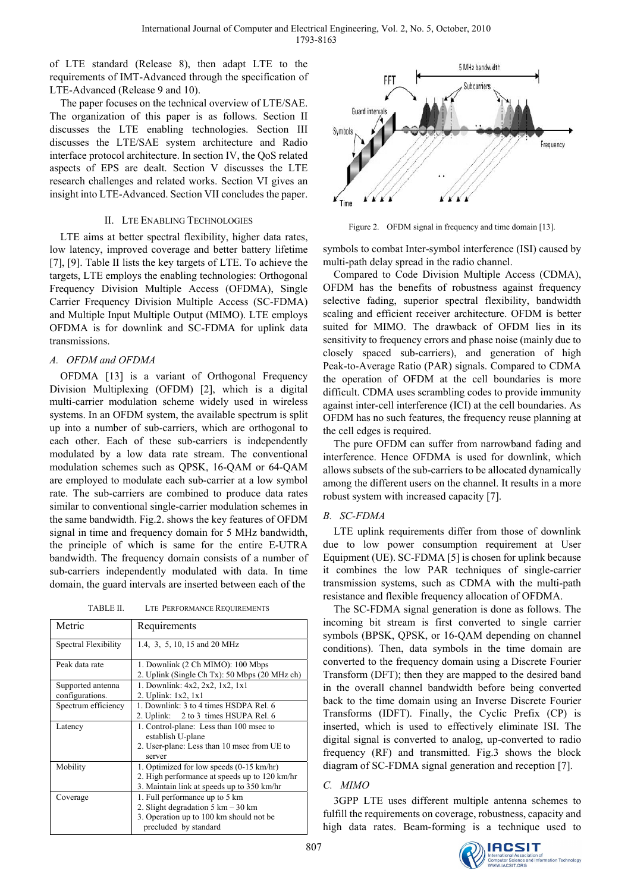of LTE standard (Release 8), then adapt LTE to the requirements of IMT-Advanced through the specification of LTE-Advanced (Release 9 and 10).

The paper focuses on the technical overview of LTE/SAE. The organization of this paper is as follows. Section II discusses the LTE enabling technologies. Section III discusses the LTE/SAE system architecture and Radio interface protocol architecture. In section IV, the QoS related aspects of EPS are dealt. Section V discusses the LTE research challenges and related works. Section VI gives an insight into LTE-Advanced. Section VII concludes the paper.

## II. LTE ENABLING TECHNOLOGIES

LTE aims at better spectral flexibility, higher data rates, low latency, improved coverage and better battery lifetime [7], [9]. Table II lists the key targets of LTE. To achieve the targets, LTE employs the enabling technologies: Orthogonal Frequency Division Multiple Access (OFDMA), Single Carrier Frequency Division Multiple Access (SC-FDMA) and Multiple Input Multiple Output (MIMO). LTE employs OFDMA is for downlink and SC-FDMA for uplink data transmissions.

# *A. OFDM and OFDMA*

OFDMA [13] is a variant of Orthogonal Frequency Division Multiplexing (OFDM) [2], which is a digital multi-carrier modulation scheme widely used in wireless systems. In an OFDM system, the available spectrum is split up into a number of sub-carriers, which are orthogonal to each other. Each of these sub-carriers is independently modulated by a low data rate stream. The conventional modulation schemes such as QPSK, 16-QAM or 64-QAM are employed to modulate each sub-carrier at a low symbol rate. The sub-carriers are combined to produce data rates similar to conventional single-carrier modulation schemes in the same bandwidth. Fig.2. shows the key features of OFDM signal in time and frequency domain for 5 MHz bandwidth, the principle of which is same for the entire E-UTRA bandwidth. The frequency domain consists of a number of sub-carriers independently modulated with data. In time domain, the guard intervals are inserted between each of the

TABLE II. LTE PERFORMANCE REQUIREMENTS

| Metric                               | Requirements                                                                                                                                                |
|--------------------------------------|-------------------------------------------------------------------------------------------------------------------------------------------------------------|
| Spectral Flexibility                 | 1.4, 3, 5, 10, 15 and 20 MHz                                                                                                                                |
| Peak data rate                       | 1. Downlink (2 Ch MIMO): 100 Mbps<br>2. Uplink (Single Ch Tx): 50 Mbps (20 MHz ch)                                                                          |
| Supported antenna<br>configurations. | 1. Downlink: 4x2, 2x2, 1x2, 1x1<br>2. Uplink: 1x2, 1x1                                                                                                      |
| Spectrum efficiency                  | 1. Downlink: 3 to 4 times HSDPA Rel. 6<br>2. Uplink: 2 to 3 times HSUPA Rel. 6                                                                              |
| Latency                              | 1. Control-plane: Less than 100 msec to<br>establish U-plane<br>2. User-plane: Less than 10 msec from UE to<br>server                                       |
| Mobility                             | 1. Optimized for low speeds (0-15 km/hr)<br>2. High performance at speeds up to 120 km/hr<br>3. Maintain link at speeds up to 350 km/hr                     |
| Coverage                             | 1. Full performance up to 5 km<br>2. Slight degradation $5 \text{ km} - 30 \text{ km}$<br>3. Operation up to 100 km should not be.<br>precluded by standard |



Figure 2. OFDM signal in frequency and time domain [13].

symbols to combat Inter-symbol interference (ISI) caused by multi-path delay spread in the radio channel.

Compared to Code Division Multiple Access (CDMA), OFDM has the benefits of robustness against frequency selective fading, superior spectral flexibility, bandwidth scaling and efficient receiver architecture. OFDM is better suited for MIMO. The drawback of OFDM lies in its sensitivity to frequency errors and phase noise (mainly due to closely spaced sub-carriers), and generation of high Peak-to-Average Ratio (PAR) signals. Compared to CDMA the operation of OFDM at the cell boundaries is more difficult. CDMA uses scrambling codes to provide immunity against inter-cell interference (ICI) at the cell boundaries. As OFDM has no such features, the frequency reuse planning at the cell edges is required.

The pure OFDM can suffer from narrowband fading and interference. Hence OFDMA is used for downlink, which allows subsets of the sub-carriers to be allocated dynamically among the different users on the channel. It results in a more robust system with increased capacity [7].

# *B. SC-FDMA*

LTE uplink requirements differ from those of downlink due to low power consumption requirement at User Equipment (UE). SC-FDMA [5] is chosen for uplink because it combines the low PAR techniques of single-carrier transmission systems, such as CDMA with the multi-path resistance and flexible frequency allocation of OFDMA.

The SC-FDMA signal generation is done as follows. The incoming bit stream is first converted to single carrier symbols (BPSK, QPSK, or 16-QAM depending on channel conditions). Then, data symbols in the time domain are converted to the frequency domain using a Discrete Fourier Transform (DFT); then they are mapped to the desired band in the overall channel bandwidth before being converted back to the time domain using an Inverse Discrete Fourier Transforms (IDFT). Finally, the Cyclic Prefix (CP) is inserted, which is used to effectively eliminate ISI. The digital signal is converted to analog, up-converted to radio frequency (RF) and transmitted. Fig.3 shows the block diagram of SC-FDMA signal generation and reception [7].

## *C. MIMO*

3GPP LTE uses different multiple antenna schemes to fulfill the requirements on coverage, robustness, capacity and high data rates. Beam-forming is a technique used to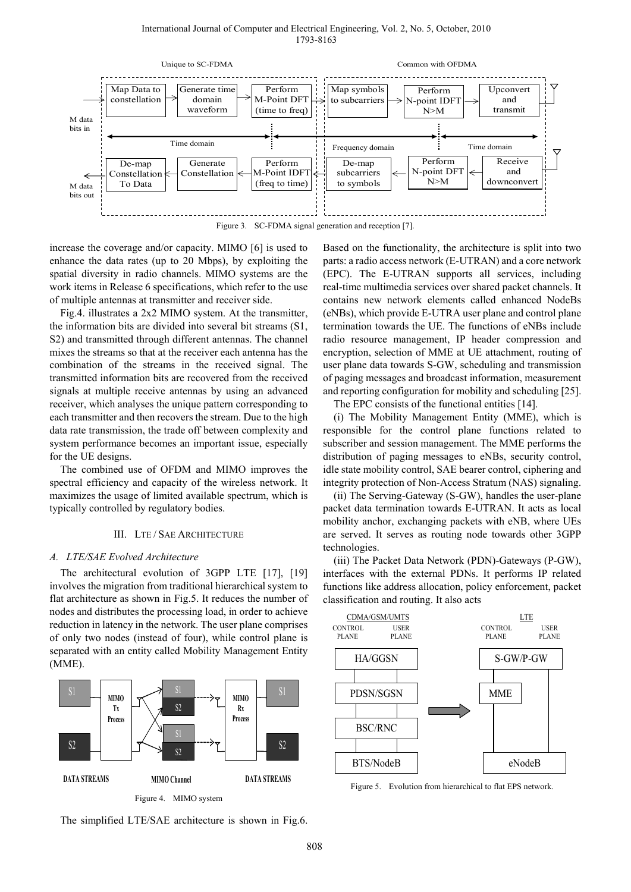#### International Journal of Computer and Electrical Engineering, Vol. 2, No. 5, October, 2010 1793-8163



Figure 3. SC-FDMA signal generation and reception [7].

increase the coverage and/or capacity. MIMO [6] is used to enhance the data rates (up to 20 Mbps), by exploiting the spatial diversity in radio channels. MIMO systems are the work items in Release 6 specifications, which refer to the use of multiple antennas at transmitter and receiver side.

Fig.4. illustrates a 2x2 MIMO system. At the transmitter, the information bits are divided into several bit streams (S1, S2) and transmitted through different antennas. The channel mixes the streams so that at the receiver each antenna has the combination of the streams in the received signal. The transmitted information bits are recovered from the received signals at multiple receive antennas by using an advanced receiver, which analyses the unique pattern corresponding to each transmitter and then recovers the stream. Due to the high data rate transmission, the trade off between complexity and system performance becomes an important issue, especially for the UE designs.

The combined use of OFDM and MIMO improves the spectral efficiency and capacity of the wireless network. It maximizes the usage of limited available spectrum, which is typically controlled by regulatory bodies.

#### III. LTE / SAE ARCHITECTURE

#### *A. LTE/SAE Evolved Architecture*

The architectural evolution of 3GPP LTE [17], [19] involves the migration from traditional hierarchical system to flat architecture as shown in Fig.5. It reduces the number of nodes and distributes the processing load, in order to achieve reduction in latency in the network. The user plane comprises of only two nodes (instead of four), while control plane is separated with an entity called Mobility Management Entity (MME).



The simplified LTE/SAE architecture is shown in Fig.6.

Based on the functionality, the architecture is split into two parts: a radio access network (E-UTRAN) and a core network (EPC). The E-UTRAN supports all services, including real-time multimedia services over shared packet channels. It contains new network elements called enhanced NodeBs (eNBs), which provide E-UTRA user plane and control plane termination towards the UE. The functions of eNBs include radio resource management, IP header compression and encryption, selection of MME at UE attachment, routing of user plane data towards S-GW, scheduling and transmission of paging messages and broadcast information, measurement and reporting configuration for mobility and scheduling [25].

The EPC consists of the functional entities [14].

(i) The Mobility Management Entity (MME), which is responsible for the control plane functions related to subscriber and session management. The MME performs the distribution of paging messages to eNBs, security control, idle state mobility control, SAE bearer control, ciphering and integrity protection of Non-Access Stratum (NAS) signaling.

(ii) The Serving-Gateway (S-GW), handles the user-plane packet data termination towards E-UTRAN. It acts as local mobility anchor, exchanging packets with eNB, where UEs are served. It serves as routing node towards other 3GPP technologies.

(iii) The Packet Data Network (PDN)-Gateways (P-GW), interfaces with the external PDNs. It performs IP related functions like address allocation, policy enforcement, packet classification and routing. It also acts



Figure 5. Evolution from hierarchical to flat EPS network.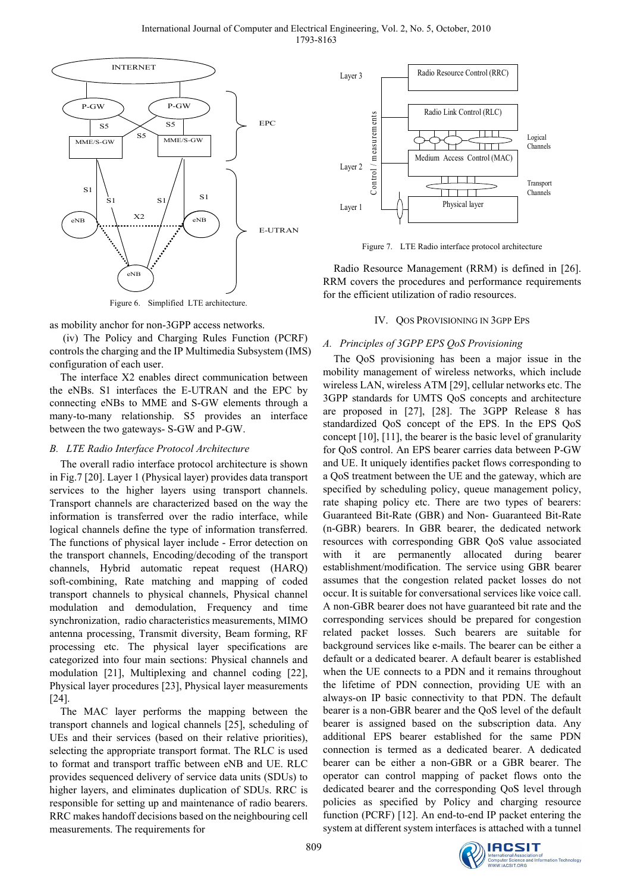

Figure 6. Simplified LTE architecture.

as mobility anchor for non-3GPP access networks.

 (iv) The Policy and Charging Rules Function (PCRF) controls the charging and the IP Multimedia Subsystem (IMS) configuration of each user.

The interface X2 enables direct communication between the eNBs. S1 interfaces the E-UTRAN and the EPC by connecting eNBs to MME and S-GW elements through a many-to-many relationship. S5 provides an interface between the two gateways- S-GW and P-GW.

## *B. LTE Radio Interface Protocol Architecture*

The overall radio interface protocol architecture is shown in Fig.7 [20]. Layer 1 (Physical layer) provides data transport services to the higher layers using transport channels. Transport channels are characterized based on the way the information is transferred over the radio interface, while logical channels define the type of information transferred. The functions of physical layer include - Error detection on the transport channels, Encoding/decoding of the transport channels, Hybrid automatic repeat request (HARQ) soft-combining, Rate matching and mapping of coded transport channels to physical channels, Physical channel modulation and demodulation, Frequency and time synchronization, radio characteristics measurements, MIMO antenna processing, Transmit diversity, Beam forming, RF processing etc. The physical layer specifications are categorized into four main sections: Physical channels and modulation [21], Multiplexing and channel coding [22], Physical layer procedures [23], Physical layer measurements [24].

The MAC layer performs the mapping between the transport channels and logical channels [25], scheduling of UEs and their services (based on their relative priorities), selecting the appropriate transport format. The RLC is used to format and transport traffic between eNB and UE. RLC provides sequenced delivery of service data units (SDUs) to higher layers, and eliminates duplication of SDUs. RRC is responsible for setting up and maintenance of radio bearers. RRC makes handoff decisions based on the neighbouring cell measurements. The requirements for



Figure 7. LTE Radio interface protocol architecture

Radio Resource Management (RRM) is defined in [26]. RRM covers the procedures and performance requirements for the efficient utilization of radio resources.

## IV. QOS PROVISIONING IN 3GPP EPS

## *A. Principles of 3GPP EPS QoS Provisioning*

The QoS provisioning has been a major issue in the mobility management of wireless networks, which include wireless LAN, wireless ATM [29], cellular networks etc. The 3GPP standards for UMTS QoS concepts and architecture are proposed in [27], [28]. The 3GPP Release 8 has standardized QoS concept of the EPS. In the EPS QoS concept [10], [11], the bearer is the basic level of granularity for QoS control. An EPS bearer carries data between P-GW and UE. It uniquely identifies packet flows corresponding to a QoS treatment between the UE and the gateway, which are specified by scheduling policy, queue management policy, rate shaping policy etc. There are two types of bearers: Guaranteed Bit-Rate (GBR) and Non- Guaranteed Bit-Rate (n-GBR) bearers. In GBR bearer, the dedicated network resources with corresponding GBR QoS value associated with it are permanently allocated during bearer establishment/modification. The service using GBR bearer assumes that the congestion related packet losses do not occur. It is suitable for conversational services like voice call. A non-GBR bearer does not have guaranteed bit rate and the corresponding services should be prepared for congestion related packet losses. Such bearers are suitable for background services like e-mails. The bearer can be either a default or a dedicated bearer. A default bearer is established when the UE connects to a PDN and it remains throughout the lifetime of PDN connection, providing UE with an always-on IP basic connectivity to that PDN. The default bearer is a non-GBR bearer and the QoS level of the default bearer is assigned based on the subscription data. Any additional EPS bearer established for the same PDN connection is termed as a dedicated bearer. A dedicated bearer can be either a non-GBR or a GBR bearer. The operator can control mapping of packet flows onto the dedicated bearer and the corresponding QoS level through policies as specified by Policy and charging resource function (PCRF) [12]. An end-to-end IP packet entering the system at different system interfaces is attached with a tunnel

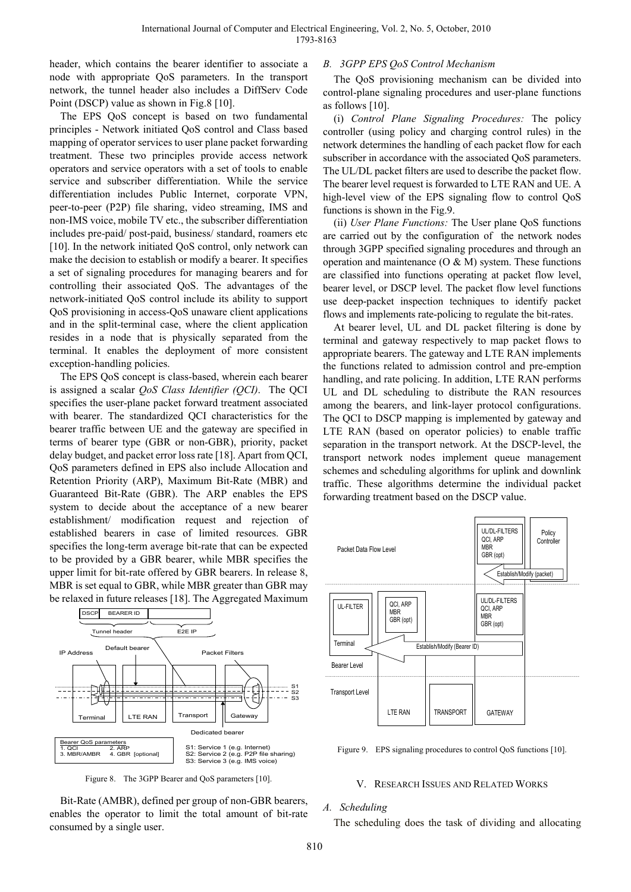header, which contains the bearer identifier to associate a node with appropriate QoS parameters. In the transport network, the tunnel header also includes a DiffServ Code Point (DSCP) value as shown in Fig.8 [10].

The EPS QoS concept is based on two fundamental principles - Network initiated QoS control and Class based mapping of operator services to user plane packet forwarding treatment. These two principles provide access network operators and service operators with a set of tools to enable service and subscriber differentiation. While the service differentiation includes Public Internet, corporate VPN, peer-to-peer (P2P) file sharing, video streaming, IMS and non-IMS voice, mobile TV etc., the subscriber differentiation includes pre-paid/ post-paid, business/ standard, roamers etc [10]. In the network initiated OoS control, only network can make the decision to establish or modify a bearer. It specifies a set of signaling procedures for managing bearers and for controlling their associated QoS. The advantages of the network-initiated QoS control include its ability to support QoS provisioning in access-QoS unaware client applications and in the split-terminal case, where the client application resides in a node that is physically separated from the terminal. It enables the deployment of more consistent exception-handling policies.

The EPS QoS concept is class-based, wherein each bearer is assigned a scalar *QoS Class Identifier (QCI)*. The QCI specifies the user-plane packet forward treatment associated with bearer. The standardized QCI characteristics for the bearer traffic between UE and the gateway are specified in terms of bearer type (GBR or non-GBR), priority, packet delay budget, and packet error loss rate [18]. Apart from QCI, QoS parameters defined in EPS also include Allocation and Retention Priority (ARP), Maximum Bit-Rate (MBR) and Guaranteed Bit-Rate (GBR). The ARP enables the EPS system to decide about the acceptance of a new bearer establishment/ modification request and rejection of established bearers in case of limited resources. GBR specifies the long-term average bit-rate that can be expected to be provided by a GBR bearer, while MBR specifies the upper limit for bit-rate offered by GBR bearers. In release 8, MBR is set equal to GBR, while MBR greater than GBR may be relaxed in future releases [18]. The Aggregated Maximum



Figure 8. The 3GPP Bearer and QoS parameters [10].

Bit-Rate (AMBR), defined per group of non-GBR bearers, enables the operator to limit the total amount of bit-rate consumed by a single user.

### *B. 3GPP EPS QoS Control Mechanism*

The QoS provisioning mechanism can be divided into control-plane signaling procedures and user-plane functions as follows [10].

(i) *Control Plane Signaling Procedures:* The policy controller (using policy and charging control rules) in the network determines the handling of each packet flow for each subscriber in accordance with the associated QoS parameters. The UL/DL packet filters are used to describe the packet flow. The bearer level request is forwarded to LTE RAN and UE. A high-level view of the EPS signaling flow to control QoS functions is shown in the Fig.9.

(ii) *User Plane Functions:* The User plane QoS functions are carried out by the configuration of the network nodes through 3GPP specified signaling procedures and through an operation and maintenance  $(O & M)$  system. These functions are classified into functions operating at packet flow level, bearer level, or DSCP level. The packet flow level functions use deep-packet inspection techniques to identify packet flows and implements rate-policing to regulate the bit-rates.

At bearer level, UL and DL packet filtering is done by terminal and gateway respectively to map packet flows to appropriate bearers. The gateway and LTE RAN implements the functions related to admission control and pre-emption handling, and rate policing. In addition, LTE RAN performs UL and DL scheduling to distribute the RAN resources among the bearers, and link-layer protocol configurations. The QCI to DSCP mapping is implemented by gateway and LTE RAN (based on operator policies) to enable traffic separation in the transport network. At the DSCP-level, the transport network nodes implement queue management schemes and scheduling algorithms for uplink and downlink traffic. These algorithms determine the individual packet forwarding treatment based on the DSCP value.



Figure 9. EPS signaling procedures to control OoS functions [10].

## V. RESEARCH ISSUES AND RELATED WORKS

#### *A. Scheduling*

The scheduling does the task of dividing and allocating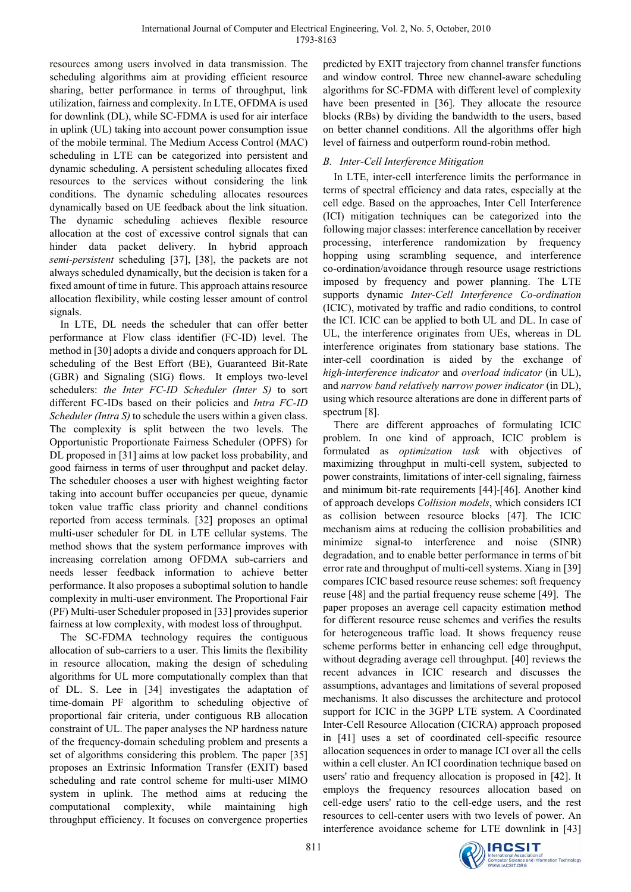resources among users involved in data transmission. The scheduling algorithms aim at providing efficient resource sharing, better performance in terms of throughput, link utilization, fairness and complexity. In LTE, OFDMA is used for downlink (DL), while SC-FDMA is used for air interface in uplink (UL) taking into account power consumption issue of the mobile terminal. The Medium Access Control (MAC) scheduling in LTE can be categorized into persistent and dynamic scheduling. A persistent scheduling allocates fixed resources to the services without considering the link conditions. The dynamic scheduling allocates resources dynamically based on UE feedback about the link situation. The dynamic scheduling achieves flexible resource allocation at the cost of excessive control signals that can hinder data packet delivery. In hybrid approach *semi-persistent* scheduling [37], [38], the packets are not always scheduled dynamically, but the decision is taken for a fixed amount of time in future. This approach attains resource allocation flexibility, while costing lesser amount of control signals.

In LTE, DL needs the scheduler that can offer better performance at Flow class identifier (FC-ID) level. The method in [30] adopts a divide and conquers approach for DL scheduling of the Best Effort (BE), Guaranteed Bit-Rate (GBR) and Signaling (SIG) flows. It employs two-level schedulers: *the Inter FC-ID Scheduler (Inter S)* to sort different FC-IDs based on their policies and *Intra FC-ID Scheduler (Intra S)* to schedule the users within a given class. The complexity is split between the two levels. The Opportunistic Proportionate Fairness Scheduler (OPFS) for DL proposed in [31] aims at low packet loss probability, and good fairness in terms of user throughput and packet delay. The scheduler chooses a user with highest weighting factor taking into account buffer occupancies per queue, dynamic token value traffic class priority and channel conditions reported from access terminals. [32] proposes an optimal multi-user scheduler for DL in LTE cellular systems. The method shows that the system performance improves with increasing correlation among OFDMA sub-carriers and needs lesser feedback information to achieve better performance. It also proposes a suboptimal solution to handle complexity in multi-user environment. The Proportional Fair (PF) Multi-user Scheduler proposed in [33] provides superior fairness at low complexity, with modest loss of throughput.

The SC-FDMA technology requires the contiguous allocation of sub-carriers to a user. This limits the flexibility in resource allocation, making the design of scheduling algorithms for UL more computationally complex than that of DL. S. Lee in [34] investigates the adaptation of time-domain PF algorithm to scheduling objective of proportional fair criteria, under contiguous RB allocation constraint of UL. The paper analyses the NP hardness nature of the frequency-domain scheduling problem and presents a set of algorithms considering this problem. The paper [35] proposes an Extrinsic Information Transfer (EXIT) based scheduling and rate control scheme for multi-user MIMO system in uplink. The method aims at reducing the computational complexity, while maintaining high throughput efficiency. It focuses on convergence properties predicted by EXIT trajectory from channel transfer functions and window control. Three new channel-aware scheduling algorithms for SC-FDMA with different level of complexity have been presented in [36]. They allocate the resource blocks (RBs) by dividing the bandwidth to the users, based on better channel conditions. All the algorithms offer high level of fairness and outperform round-robin method.

# *B. Inter-Cell Interference Mitigation*

In LTE, inter-cell interference limits the performance in terms of spectral efficiency and data rates, especially at the cell edge. Based on the approaches, Inter Cell Interference (ICI) mitigation techniques can be categorized into the following major classes: interference cancellation by receiver processing, interference randomization by frequency hopping using scrambling sequence, and interference co-ordination/avoidance through resource usage restrictions imposed by frequency and power planning. The LTE supports dynamic *Inter-Cell Interference Co-ordination*  (ICIC), motivated by traffic and radio conditions, to control the ICI. ICIC can be applied to both UL and DL. In case of UL, the interference originates from UEs, whereas in DL interference originates from stationary base stations. The inter-cell coordination is aided by the exchange of *high-interference indicator* and *overload indicator* (in UL), and *narrow band relatively narrow power indicator* (in DL), using which resource alterations are done in different parts of spectrum [8].

There are different approaches of formulating ICIC problem. In one kind of approach, ICIC problem is formulated as *optimization task* with objectives of maximizing throughput in multi-cell system, subjected to power constraints, limitations of inter-cell signaling, fairness and minimum bit-rate requirements [44]-[46]. Another kind of approach develops *Collision models*, which considers ICI as collision between resource blocks [47]. The ICIC mechanism aims at reducing the collision probabilities and minimize signal-to interference and noise (SINR) degradation, and to enable better performance in terms of bit error rate and throughput of multi-cell systems. Xiang in [39] compares ICIC based resource reuse schemes: soft frequency reuse [48] and the partial frequency reuse scheme [49]. The paper proposes an average cell capacity estimation method for different resource reuse schemes and verifies the results for heterogeneous traffic load. It shows frequency reuse scheme performs better in enhancing cell edge throughput, without degrading average cell throughput. [40] reviews the recent advances in ICIC research and discusses the assumptions, advantages and limitations of several proposed mechanisms. It also discusses the architecture and protocol support for ICIC in the 3GPP LTE system. A Coordinated Inter-Cell Resource Allocation (CICRA) approach proposed in [41] uses a set of coordinated cell-specific resource allocation sequences in order to manage ICI over all the cells within a cell cluster. An ICI coordination technique based on users' ratio and frequency allocation is proposed in [42]. It employs the frequency resources allocation based on cell-edge users' ratio to the cell-edge users, and the rest resources to cell-center users with two levels of power. An interference avoidance scheme for LTE downlink in [43]

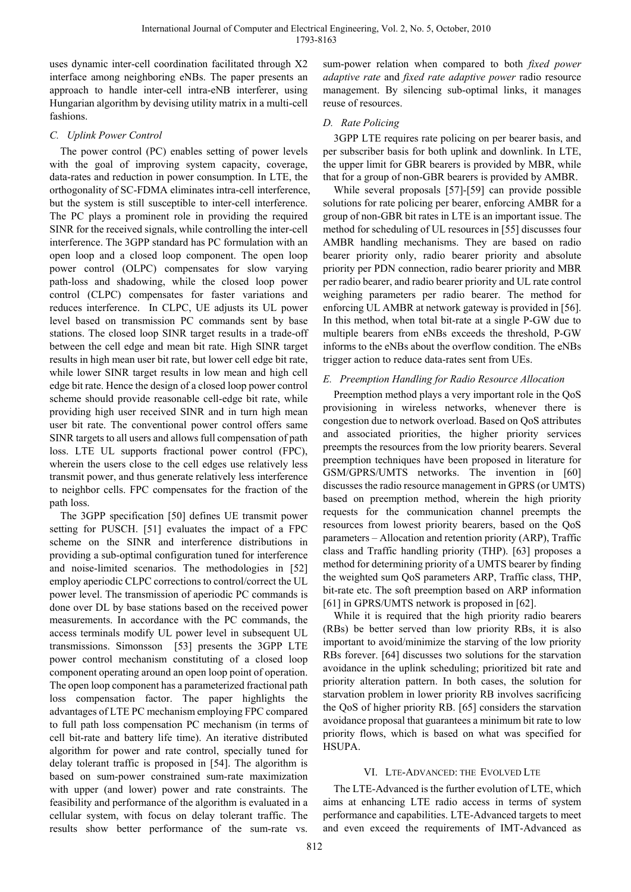uses dynamic inter-cell coordination facilitated through X2 interface among neighboring eNBs. The paper presents an approach to handle inter-cell intra-eNB interferer, using Hungarian algorithm by devising utility matrix in a multi-cell fashions.

## *C. Uplink Power Control*

The power control (PC) enables setting of power levels with the goal of improving system capacity, coverage, data-rates and reduction in power consumption. In LTE, the orthogonality of SC-FDMA eliminates intra-cell interference, but the system is still susceptible to inter-cell interference. The PC plays a prominent role in providing the required SINR for the received signals, while controlling the inter-cell interference. The 3GPP standard has PC formulation with an open loop and a closed loop component. The open loop power control (OLPC) compensates for slow varying path-loss and shadowing, while the closed loop power control (CLPC) compensates for faster variations and reduces interference. In CLPC, UE adjusts its UL power level based on transmission PC commands sent by base stations. The closed loop SINR target results in a trade-off between the cell edge and mean bit rate. High SINR target results in high mean user bit rate, but lower cell edge bit rate, while lower SINR target results in low mean and high cell edge bit rate. Hence the design of a closed loop power control scheme should provide reasonable cell-edge bit rate, while providing high user received SINR and in turn high mean user bit rate. The conventional power control offers same SINR targets to all users and allows full compensation of path loss. LTE UL supports fractional power control (FPC), wherein the users close to the cell edges use relatively less transmit power, and thus generate relatively less interference to neighbor cells. FPC compensates for the fraction of the path loss.

The 3GPP specification [50] defines UE transmit power setting for PUSCH. [51] evaluates the impact of a FPC scheme on the SINR and interference distributions in providing a sub-optimal configuration tuned for interference and noise-limited scenarios. The methodologies in [52] employ aperiodic CLPC corrections to control/correct the UL power level. The transmission of aperiodic PC commands is done over DL by base stations based on the received power measurements. In accordance with the PC commands, the access terminals modify UL power level in subsequent UL transmissions. Simonsson [53] presents the 3GPP LTE power control mechanism constituting of a closed loop component operating around an open loop point of operation. The open loop component has a parameterized fractional path loss compensation factor. The paper highlights the advantages of LTE PC mechanism employing FPC compared to full path loss compensation PC mechanism (in terms of cell bit-rate and battery life time). An iterative distributed algorithm for power and rate control, specially tuned for delay tolerant traffic is proposed in [54]. The algorithm is based on sum-power constrained sum-rate maximization with upper (and lower) power and rate constraints. The feasibility and performance of the algorithm is evaluated in a cellular system, with focus on delay tolerant traffic. The results show better performance of the sum-rate vs.

sum-power relation when compared to both *fixed power adaptive rate* and *fixed rate adaptive power* radio resource management. By silencing sub-optimal links, it manages reuse of resources.

## *D. Rate Policing*

3GPP LTE requires rate policing on per bearer basis, and per subscriber basis for both uplink and downlink. In LTE, the upper limit for GBR bearers is provided by MBR, while that for a group of non-GBR bearers is provided by AMBR.

While several proposals [57]-[59] can provide possible solutions for rate policing per bearer, enforcing AMBR for a group of non-GBR bit rates in LTE is an important issue. The method for scheduling of UL resources in [55] discusses four AMBR handling mechanisms. They are based on radio bearer priority only, radio bearer priority and absolute priority per PDN connection, radio bearer priority and MBR per radio bearer, and radio bearer priority and UL rate control weighing parameters per radio bearer. The method for enforcing UL AMBR at network gateway is provided in [56]. In this method, when total bit-rate at a single P-GW due to multiple bearers from eNBs exceeds the threshold, P-GW informs to the eNBs about the overflow condition. The eNBs trigger action to reduce data-rates sent from UEs.

## *E. Preemption Handling for Radio Resource Allocation*

Preemption method plays a very important role in the QoS provisioning in wireless networks, whenever there is congestion due to network overload. Based on QoS attributes and associated priorities, the higher priority services preempts the resources from the low priority bearers. Several preemption techniques have been proposed in literature for GSM/GPRS/UMTS networks. The invention in [60] discusses the radio resource management in GPRS (or UMTS) based on preemption method, wherein the high priority requests for the communication channel preempts the resources from lowest priority bearers, based on the QoS parameters – Allocation and retention priority (ARP), Traffic class and Traffic handling priority (THP). [63] proposes a method for determining priority of a UMTS bearer by finding the weighted sum QoS parameters ARP, Traffic class, THP, bit-rate etc. The soft preemption based on ARP information [61] in GPRS/UMTS network is proposed in [62].

While it is required that the high priority radio bearers (RBs) be better served than low priority RBs, it is also important to avoid/minimize the starving of the low priority RBs forever. [64] discusses two solutions for the starvation avoidance in the uplink scheduling; prioritized bit rate and priority alteration pattern. In both cases, the solution for starvation problem in lower priority RB involves sacrificing the QoS of higher priority RB. [65] considers the starvation avoidance proposal that guarantees a minimum bit rate to low priority flows, which is based on what was specified for HSUPA.

## VI. LTE-ADVANCED: THE EVOLVED LTE

The LTE-Advanced is the further evolution of LTE, which aims at enhancing LTE radio access in terms of system performance and capabilities. LTE-Advanced targets to meet and even exceed the requirements of IMT-Advanced as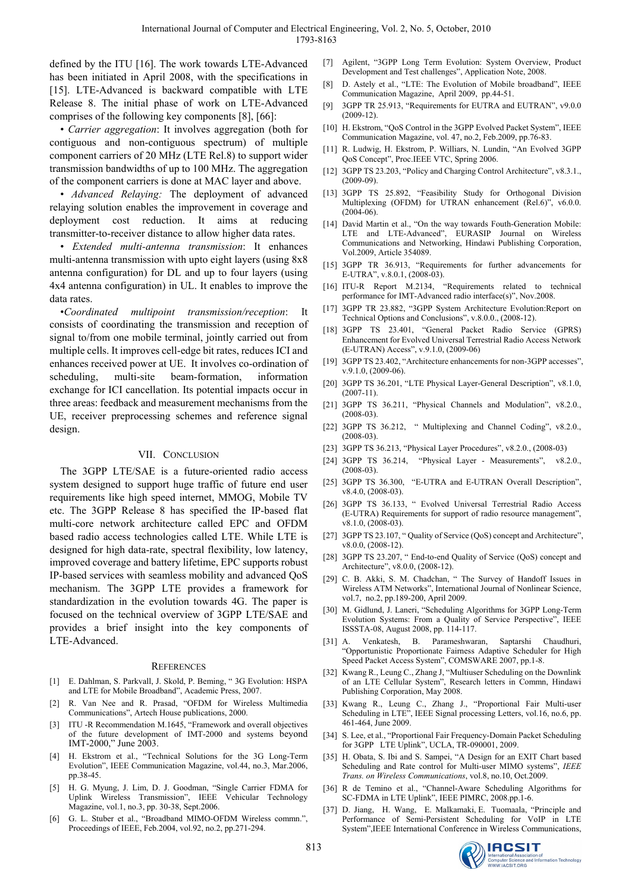defined by the ITU [16]. The work towards LTE-Advanced has been initiated in April 2008, with the specifications in [15]. LTE-Advanced is backward compatible with LTE Release 8. The initial phase of work on LTE-Advanced comprises of the following key components [8], [66]:

• *Carrier aggregation*: It involves aggregation (both for contiguous and non-contiguous spectrum) of multiple component carriers of 20 MHz (LTE Rel.8) to support wider transmission bandwidths of up to 100 MHz. The aggregation of the component carriers is done at MAC layer and above.

• *Advanced Relaying:* The deployment of advanced relaying solution enables the improvement in coverage and deployment cost reduction. It aims at reducing transmitter-to-receiver distance to allow higher data rates.

• *Extended multi-antenna transmission*: It enhances multi-antenna transmission with upto eight layers (using 8x8 antenna configuration) for DL and up to four layers (using 4x4 antenna configuration) in UL. It enables to improve the data rates.

•*Coordinated multipoint transmission/reception*: It consists of coordinating the transmission and reception of signal to/from one mobile terminal, jointly carried out from multiple cells. It improves cell-edge bit rates, reduces ICI and enhances received power at UE. It involves co-ordination of scheduling, multi-site beam-formation, information exchange for ICI cancellation. Its potential impacts occur in three areas: feedback and measurement mechanisms from the UE, receiver preprocessing schemes and reference signal design.

#### VII. CONCLUSION

The 3GPP LTE/SAE is a future-oriented radio access system designed to support huge traffic of future end user requirements like high speed internet, MMOG, Mobile TV etc. The 3GPP Release 8 has specified the IP-based flat multi-core network architecture called EPC and OFDM based radio access technologies called LTE. While LTE is designed for high data-rate, spectral flexibility, low latency, improved coverage and battery lifetime, EPC supports robust IP-based services with seamless mobility and advanced QoS mechanism. The 3GPP LTE provides a framework for standardization in the evolution towards 4G. The paper is focused on the technical overview of 3GPP LTE/SAE and provides a brief insight into the key components of LTE-Advanced.

#### **REFERENCES**

- [1] E. Dahlman, S. Parkvall, J. Skold, P. Beming, " 3G Evolution: HSPA and LTE for Mobile Broadband", Academic Press, 2007.
- [2] R. Van Nee and R. Prasad, "OFDM for Wireless Multimedia Communications", Artech House publications, 2000.
- [3] ITU -R Recommendation M.1645, "Framework and overall objectives of the future development of IMT-2000 and systems beyond IMT-2000," June 2003.
- [4] H. Ekstrom et al., "Technical Solutions for the 3G Long-Term Evolution", IEEE Communication Magazine, vol.44, no.3, Mar.2006, pp.38-45.
- [5] H. G. Myung, J. Lim, D. J. Goodman, "Single Carrier FDMA for Uplink Wireless Transmission", IEEE Vehicular Technology Magazine, vol.1, no.3, pp. 30-38, Sept.2006.
- [6] G. L. Stuber et al., "Broadband MIMO-OFDM Wireless commn.", Proceedings of IEEE, Feb.2004, vol.92, no.2, pp.271-294.
- [7] Agilent, "3GPP Long Term Evolution: System Overview, Product Development and Test challenges", Application Note, 2008.
- [8] D. Astely et al., "LTE: The Evolution of Mobile broadband", IEEE Communication Magazine, April 2009, pp.44-51.
- [9] 3GPP TR 25.913, "Requirements for EUTRA and EUTRAN", v9.0.0 (2009-12).
- [10] H. Ekstrom, "QoS Control in the 3GPP Evolved Packet System", IEEE Communication Magazine, vol. 47, no.2, Feb.2009, pp.76-83.
- [11] R. Ludwig, H. Ekstrom, P. Williars, N. Lundin, "An Evolved 3GPP QoS Concept", Proc.IEEE VTC, Spring 2006.
- [12] 3GPP TS 23.203, "Policy and Charging Control Architecture", v8.3.1., (2009-09).
- [13] 3GPP TS 25.892, "Feasibility Study for Orthogonal Division Multiplexing (OFDM) for UTRAN enhancement (Rel.6)", v6.0.0.  $(2004 - 06)$
- [14] David Martin et al., "On the way towards Fouth-Generation Mobile: LTE and LTE-Advanced", EURASIP Journal on Wireless Communications and Networking, Hindawi Publishing Corporation, Vol.2009, Article 354089.
- [15] 3GPP TR 36.913, "Requirements for further advancements for E-UTRA", v.8.0.1, (2008-03).
- [16] ITU-R Report M.2134, "Requirements related to technical performance for IMT-Advanced radio interface(s)", Nov.2008.
- [17] 3GPP TR 23.882, "3GPP System Architecture Evolution:Report on Technical Options and Conclusions", v.8.0.0., (2008-12).
- [18] 3GPP TS 23.401, "General Packet Radio Service (GPRS) Enhancement for Evolved Universal Terrestrial Radio Access Network (E-UTRAN) Access", v.9.1.0, (2009-06)
- [19] 3GPP TS 23.402, "Architecture enhancements for non-3GPP accesses", v.9.1.0, (2009-06).
- [20] 3GPP TS 36.201, "LTE Physical Layer-General Description", v8.1.0,  $(2007 - 11)$ .
- [21] 3GPP TS 36.211, "Physical Channels and Modulation", v8.2.0., (2008-03).
- [22] 3GPP TS 36.212, " Multiplexing and Channel Coding", v8.2.0., (2008-03).
- [23] 3GPP TS 36.213, "Physical Layer Procedures", v8.2.0., (2008-03)
- [24] 3GPP TS 36.214, "Physical Layer Measurements", v8.2.0.,  $(2008-03)$
- [25] 3GPP TS 36.300, "E-UTRA and E-UTRAN Overall Description", v8.4.0, (2008-03).
- [26] 3GPP TS 36.133, " Evolved Universal Terrestrial Radio Access (E-UTRA) Requirements for support of radio resource management", v8.1.0, (2008-03).
- [27] 3GPP TS 23.107, " Quality of Service (QoS) concept and Architecture", v8.0.0, (2008-12).
- [28] 3GPP TS 23.207, " End-to-end Quality of Service (QoS) concept and Architecture", v8.0.0, (2008-12).
- [29] C. B. Akki, S. M. Chadchan, " The Survey of Handoff Issues in Wireless ATM Networks", International Journal of Nonlinear Science, vol.7, no.2, pp.189-200, April 2009.
- [30] M. Gidlund, J. Laneri, "Scheduling Algorithms for 3GPP Long-Term Evolution Systems: From a Quality of Service Perspective", IEEE ISSSTA-08, August 2008, pp. 114-117.
- [31] A. Venkatesh, B. Parameshwaran, Saptarshi Chaudhuri, "Opportunistic Proportionate Fairness Adaptive Scheduler for High Speed Packet Access System", COMSWARE 2007, pp.1-8.
- [32] Kwang R., Leung C., Zhang J, "Multiuser Scheduling on the Downlink of an LTE Cellular System", Research letters in Commn, Hindawi Publishing Corporation, May 2008.
- [33] Kwang R., Leung C., Zhang J., "Proportional Fair Multi-user Scheduling in LTE", IEEE Signal processing Letters, vol.16, no.6, pp. 461-464, June 2009.
- [34] S. Lee, et al., "Proportional Fair Frequency-Domain Packet Scheduling for 3GPP LTE Uplink", UCLA, TR-090001, 2009.
- [35] H. Obata, S. Ibi and S. Sampei, "A Design for an EXIT Chart based Scheduling and Rate control for Multi-user MIMO systems", *IEEE Trans. on Wireless Communications*, vol.8, no.10, Oct.2009.
- [36] R de Temino et al., "Channel-Aware Scheduling Algorithms for SC-FDMA in LTE Uplink", IEEE PIMRC, 2008.pp.1-6.
- [37] D. Jiang, H. Wang, E. Malkamaki, E. Tuomaala, "Principle and Performance of Semi-Persistent Scheduling for VoIP in LTE System",IEEE International Conference in Wireless Communications,